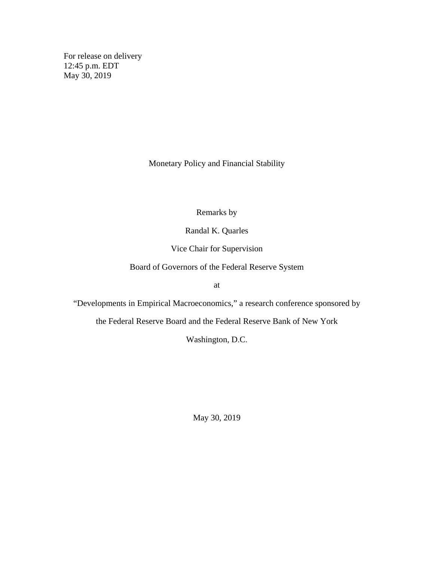For release on delivery 12:45 p.m. EDT May 30, 2019

Monetary Policy and Financial Stability

Remarks by

Randal K. Quarles

Vice Chair for Supervision

Board of Governors of the Federal Reserve System

at

"Developments in Empirical Macroeconomics," a research conference sponsored by

the Federal Reserve Board and the Federal Reserve Bank of New York

Washington, D.C.

May 30, 2019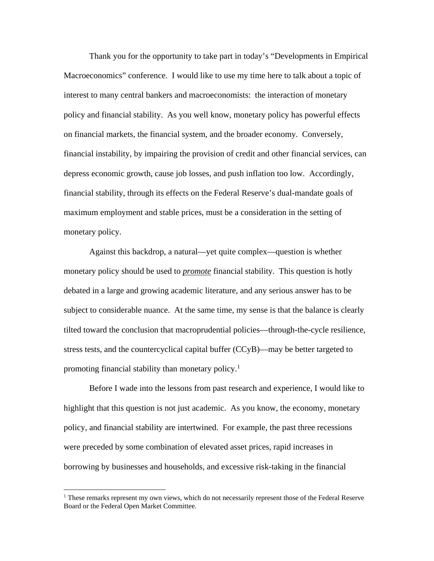Thank you for the opportunity to take part in today's "Developments in Empirical Macroeconomics" conference. I would like to use my time here to talk about a topic of interest to many central bankers and macroeconomists: the interaction of monetary policy and financial stability. As you well know, monetary policy has powerful effects on financial markets, the financial system, and the broader economy. Conversely, financial instability, by impairing the provision of credit and other financial services, can depress economic growth, cause job losses, and push inflation too low. Accordingly, financial stability, through its effects on the Federal Reserve's dual-mandate goals of maximum employment and stable prices, must be a consideration in the setting of monetary policy.

Against this backdrop, a natural—yet quite complex—question is whether monetary policy should be used to *promote* financial stability. This question is hotly debated in a large and growing academic literature, and any serious answer has to be subject to considerable nuance. At the same time, my sense is that the balance is clearly tilted toward the conclusion that macroprudential policies—through-the-cycle resilience, stress tests, and the countercyclical capital buffer (CCyB)—may be better targeted to promoting financial stability than monetary policy.<sup>1</sup>

Before I wade into the lessons from past research and experience, I would like to highlight that this question is not just academic. As you know, the economy, monetary policy, and financial stability are intertwined. For example, the past three recessions were preceded by some combination of elevated asset prices, rapid increases in borrowing by businesses and households, and excessive risk-taking in the financial

<sup>&</sup>lt;sup>1</sup> These remarks represent my own views, which do not necessarily represent those of the Federal Reserve Board or the Federal Open Market Committee.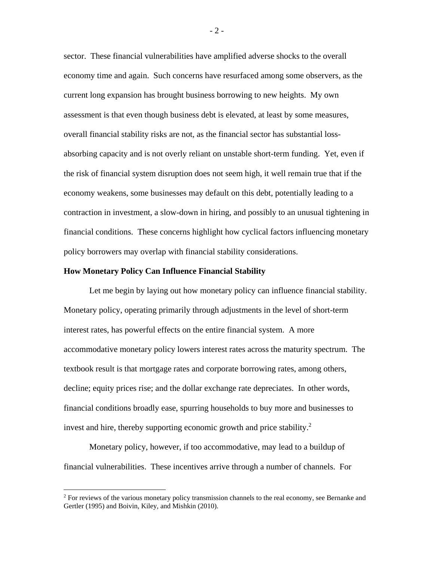sector. These financial vulnerabilities have amplified adverse shocks to the overall economy time and again. Such concerns have resurfaced among some observers, as the current long expansion has brought business borrowing to new heights. My own assessment is that even though business debt is elevated, at least by some measures, overall financial stability risks are not, as the financial sector has substantial lossabsorbing capacity and is not overly reliant on unstable short-term funding. Yet, even if the risk of financial system disruption does not seem high, it well remain true that if the economy weakens, some businesses may default on this debt, potentially leading to a contraction in investment, a slow-down in hiring, and possibly to an unusual tightening in financial conditions. These concerns highlight how cyclical factors influencing monetary policy borrowers may overlap with financial stability considerations.

### **How Monetary Policy Can Influence Financial Stability**

Let me begin by laying out how monetary policy can influence financial stability. Monetary policy, operating primarily through adjustments in the level of short-term interest rates, has powerful effects on the entire financial system. A more accommodative monetary policy lowers interest rates across the maturity spectrum. The textbook result is that mortgage rates and corporate borrowing rates, among others, decline; equity prices rise; and the dollar exchange rate depreciates. In other words, financial conditions broadly ease, spurring households to buy more and businesses to invest and hire, thereby supporting economic growth and price stability. $2$ 

Monetary policy, however, if too accommodative, may lead to a buildup of financial vulnerabilities. These incentives arrive through a number of channels. For

- 2 -

<sup>&</sup>lt;sup>2</sup> For reviews of the various monetary policy transmission channels to the real economy, see Bernanke and Gertler (1995) and Boivin, Kiley, and Mishkin (2010).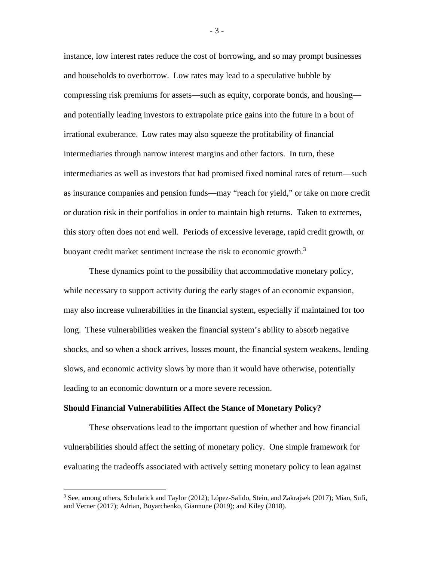instance, low interest rates reduce the cost of borrowing, and so may prompt businesses and households to overborrow. Low rates may lead to a speculative bubble by compressing risk premiums for assets—such as equity, corporate bonds, and housing and potentially leading investors to extrapolate price gains into the future in a bout of irrational exuberance. Low rates may also squeeze the profitability of financial intermediaries through narrow interest margins and other factors. In turn, these intermediaries as well as investors that had promised fixed nominal rates of return—such as insurance companies and pension funds—may "reach for yield," or take on more credit or duration risk in their portfolios in order to maintain high returns. Taken to extremes, this story often does not end well. Periods of excessive leverage, rapid credit growth, or buoyant credit market sentiment increase the risk to economic growth.<sup>3</sup>

These dynamics point to the possibility that accommodative monetary policy, while necessary to support activity during the early stages of an economic expansion, may also increase vulnerabilities in the financial system, especially if maintained for too long. These vulnerabilities weaken the financial system's ability to absorb negative shocks, and so when a shock arrives, losses mount, the financial system weakens, lending slows, and economic activity slows by more than it would have otherwise, potentially leading to an economic downturn or a more severe recession.

#### **Should Financial Vulnerabilities Affect the Stance of Monetary Policy?**

These observations lead to the important question of whether and how financial vulnerabilities should affect the setting of monetary policy. One simple framework for evaluating the tradeoffs associated with actively setting monetary policy to lean against

- 3 -

<sup>&</sup>lt;sup>3</sup> See, among others, Schularick and Taylor (2012); López-Salido, Stein, and Zakrajsek (2017); Mian, Sufi, and Verner (2017); Adrian, Boyarchenko, Giannone (2019); and Kiley (2018).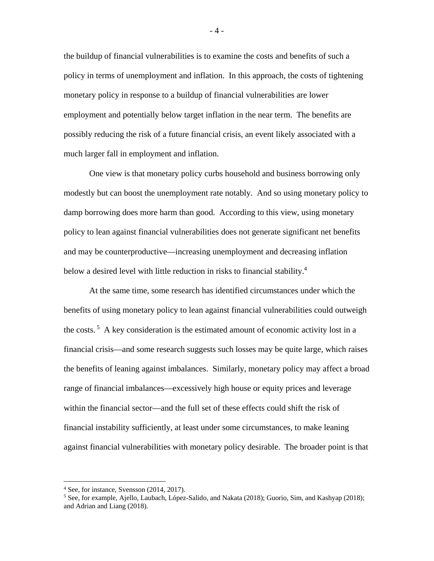the buildup of financial vulnerabilities is to examine the costs and benefits of such a policy in terms of unemployment and inflation. In this approach, the costs of tightening monetary policy in response to a buildup of financial vulnerabilities are lower employment and potentially below target inflation in the near term. The benefits are possibly reducing the risk of a future financial crisis, an event likely associated with a much larger fall in employment and inflation.

One view is that monetary policy curbs household and business borrowing only modestly but can boost the unemployment rate notably. And so using monetary policy to damp borrowing does more harm than good. According to this view, using monetary policy to lean against financial vulnerabilities does not generate significant net benefits and may be counterproductive—increasing unemployment and decreasing inflation below a desired level with little reduction in risks to financial stability.<sup>4</sup>

At the same time, some research has identified circumstances under which the benefits of using monetary policy to lean against financial vulnerabilities could outweigh the costs. <sup>5</sup> A key consideration is the estimated amount of economic activity lost in a financial crisis—and some research suggests such losses may be quite large, which raises the benefits of leaning against imbalances. Similarly, monetary policy may affect a broad range of financial imbalances—excessively high house or equity prices and leverage within the financial sector—and the full set of these effects could shift the risk of financial instability sufficiently, at least under some circumstances, to make leaning against financial vulnerabilities with monetary policy desirable. The broader point is that

- 4 -

 <sup>4</sup> See, for instance, Svensson (2014, 2017).

<sup>5</sup> See, for example, Ajello, Laubach, López-Salido, and Nakata (2018); Guorio, Sim, and Kashyap (2018); and Adrian and Liang (2018).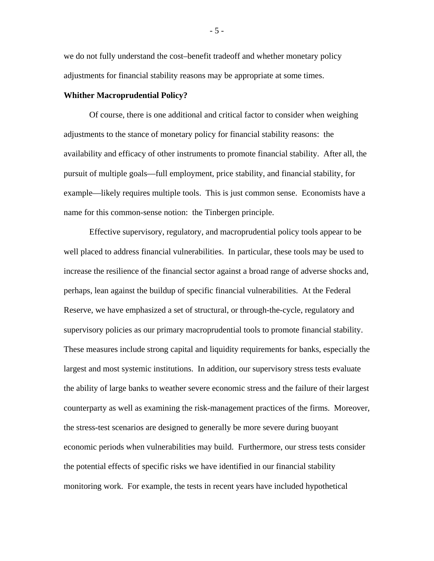we do not fully understand the cost–benefit tradeoff and whether monetary policy adjustments for financial stability reasons may be appropriate at some times.

### **Whither Macroprudential Policy?**

Of course, there is one additional and critical factor to consider when weighing adjustments to the stance of monetary policy for financial stability reasons: the availability and efficacy of other instruments to promote financial stability. After all, the pursuit of multiple goals—full employment, price stability, and financial stability, for example—likely requires multiple tools. This is just common sense. Economists have a name for this common-sense notion: the Tinbergen principle.

Effective supervisory, regulatory, and macroprudential policy tools appear to be well placed to address financial vulnerabilities. In particular, these tools may be used to increase the resilience of the financial sector against a broad range of adverse shocks and, perhaps, lean against the buildup of specific financial vulnerabilities. At the Federal Reserve, we have emphasized a set of structural, or through-the-cycle, regulatory and supervisory policies as our primary macroprudential tools to promote financial stability. These measures include strong capital and liquidity requirements for banks, especially the largest and most systemic institutions. In addition, our supervisory stress tests evaluate the ability of large banks to weather severe economic stress and the failure of their largest counterparty as well as examining the risk-management practices of the firms. Moreover, the stress-test scenarios are designed to generally be more severe during buoyant economic periods when vulnerabilities may build. Furthermore, our stress tests consider the potential effects of specific risks we have identified in our financial stability monitoring work. For example, the tests in recent years have included hypothetical

- 5 -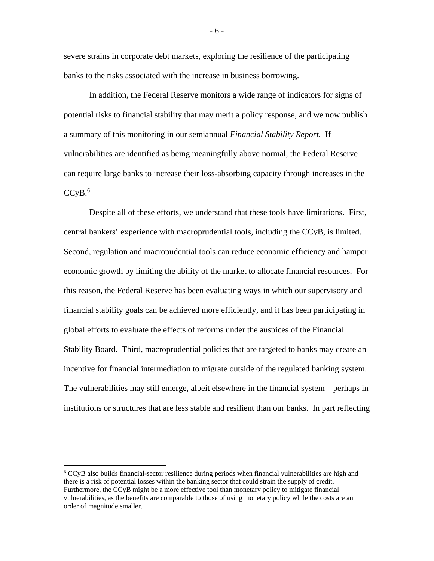severe strains in corporate debt markets, exploring the resilience of the participating banks to the risks associated with the increase in business borrowing.

In addition, the Federal Reserve monitors a wide range of indicators for signs of potential risks to financial stability that may merit a policy response, and we now publish a summary of this monitoring in our semiannual *Financial Stability Report.* If vulnerabilities are identified as being meaningfully above normal, the Federal Reserve can require large banks to increase their loss-absorbing capacity through increases in the  $CCvB.<sup>6</sup>$ 

Despite all of these efforts, we understand that these tools have limitations. First, central bankers' experience with macroprudential tools, including the CCyB, is limited. Second, regulation and macropudential tools can reduce economic efficiency and hamper economic growth by limiting the ability of the market to allocate financial resources. For this reason, the Federal Reserve has been evaluating ways in which our supervisory and financial stability goals can be achieved more efficiently, and it has been participating in global efforts to evaluate the effects of reforms under the auspices of the Financial Stability Board. Third, macroprudential policies that are targeted to banks may create an incentive for financial intermediation to migrate outside of the regulated banking system. The vulnerabilities may still emerge, albeit elsewhere in the financial system—perhaps in institutions or structures that are less stable and resilient than our banks. In part reflecting

- 6 -

 <sup>6</sup> CCyB also builds financial-sector resilience during periods when financial vulnerabilities are high and there is a risk of potential losses within the banking sector that could strain the supply of credit. Furthermore, the CCyB might be a more effective tool than monetary policy to mitigate financial vulnerabilities, as the benefits are comparable to those of using monetary policy while the costs are an order of magnitude smaller.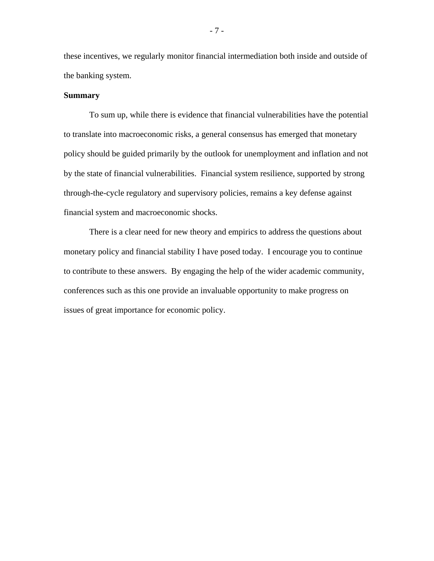these incentives, we regularly monitor financial intermediation both inside and outside of the banking system.

## **Summary**

To sum up, while there is evidence that financial vulnerabilities have the potential to translate into macroeconomic risks, a general consensus has emerged that monetary policy should be guided primarily by the outlook for unemployment and inflation and not by the state of financial vulnerabilities. Financial system resilience, supported by strong through-the-cycle regulatory and supervisory policies, remains a key defense against financial system and macroeconomic shocks.

There is a clear need for new theory and empirics to address the questions about monetary policy and financial stability I have posed today. I encourage you to continue to contribute to these answers. By engaging the help of the wider academic community, conferences such as this one provide an invaluable opportunity to make progress on issues of great importance for economic policy.